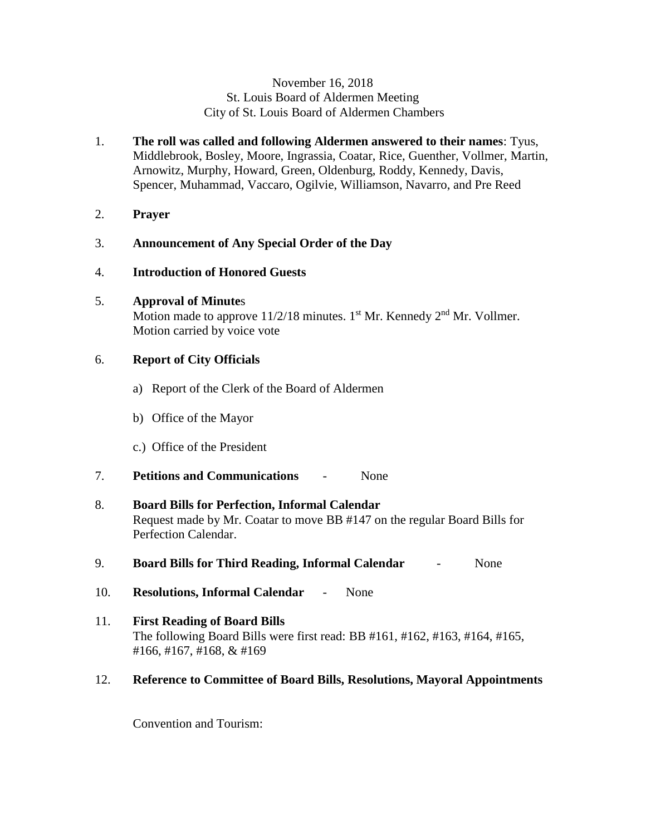#### November 16, 2018 St. Louis Board of Aldermen Meeting City of St. Louis Board of Aldermen Chambers

- 1. **The roll was called and following Aldermen answered to their names**: Tyus, Middlebrook, Bosley, Moore, Ingrassia, Coatar, Rice, Guenther, Vollmer, Martin, Arnowitz, Murphy, Howard, Green, Oldenburg, Roddy, Kennedy, Davis, Spencer, Muhammad, Vaccaro, Ogilvie, Williamson, Navarro, and Pre Reed
- 2. **Prayer**

# 3. **Announcement of Any Special Order of the Day**

- 4. **Introduction of Honored Guests**
- 5. **Approval of Minute**s

Motion made to approve  $11/2/18$  minutes. 1<sup>st</sup> Mr. Kennedy  $2<sup>nd</sup>$  Mr. Vollmer. Motion carried by voice vote

# 6. **Report of City Officials**

- a) Report of the Clerk of the Board of Aldermen
- b) Office of the Mayor
- c.) Office of the President
- 7. **Petitions and Communications** None

# 8. **Board Bills for Perfection, Informal Calendar**  Request made by Mr. Coatar to move BB #147 on the regular Board Bills for Perfection Calendar.

- 9. **Board Bills for Third Reading, Informal Calendar** None
- 10. **Resolutions, Informal Calendar** None
- 11. **First Reading of Board Bills** The following Board Bills were first read: BB #161, #162, #163, #164, #165, #166, #167, #168, & #169
- 12. **Reference to Committee of Board Bills, Resolutions, Mayoral Appointments**

Convention and Tourism: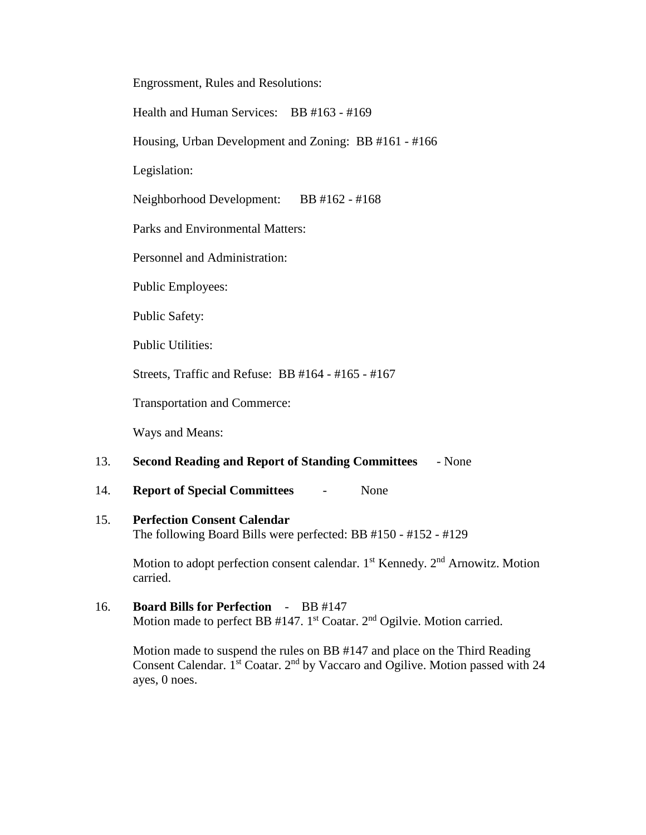Engrossment, Rules and Resolutions:

Health and Human Services: BB #163 - #169

Housing, Urban Development and Zoning: BB #161 - #166

Legislation:

Neighborhood Development: BB #162 - #168

Parks and Environmental Matters:

Personnel and Administration:

Public Employees:

Public Safety:

Public Utilities:

Streets, Traffic and Refuse: BB #164 - #165 - #167

Transportation and Commerce:

Ways and Means:

#### 13. **Second Reading and Report of Standing Committees** - None

#### 14. **Report of Special Committees** - None

# 15. **Perfection Consent Calendar**

The following Board Bills were perfected: BB #150 - #152 - #129

Motion to adopt perfection consent calendar. 1<sup>st</sup> Kennedy. 2<sup>nd</sup> Arnowitz. Motion carried.

16. **Board Bills for Perfection** - BB #147 Motion made to perfect BB  $#147$ . 1<sup>st</sup> Coatar. 2<sup>nd</sup> Ogilvie. Motion carried.

Motion made to suspend the rules on BB #147 and place on the Third Reading Consent Calendar. 1<sup>st</sup> Coatar. 2<sup>nd</sup> by Vaccaro and Ogilive. Motion passed with 24 ayes, 0 noes.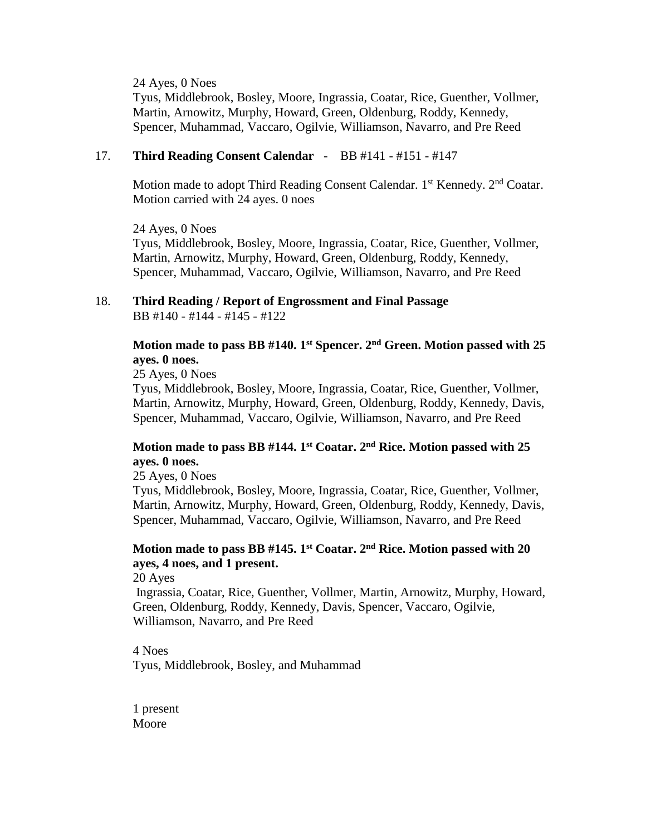24 Ayes, 0 Noes

Tyus, Middlebrook, Bosley, Moore, Ingrassia, Coatar, Rice, Guenther, Vollmer, Martin, Arnowitz, Murphy, Howard, Green, Oldenburg, Roddy, Kennedy, Spencer, Muhammad, Vaccaro, Ogilvie, Williamson, Navarro, and Pre Reed

#### 17. **Third Reading Consent Calendar** - BB #141 - #151 - #147

Motion made to adopt Third Reading Consent Calendar.  $1<sup>st</sup>$  Kennedy.  $2<sup>nd</sup>$  Coatar. Motion carried with 24 ayes. 0 noes

24 Ayes, 0 Noes Tyus, Middlebrook, Bosley, Moore, Ingrassia, Coatar, Rice, Guenther, Vollmer, Martin, Arnowitz, Murphy, Howard, Green, Oldenburg, Roddy, Kennedy, Spencer, Muhammad, Vaccaro, Ogilvie, Williamson, Navarro, and Pre Reed

#### 18. **Third Reading / Report of Engrossment and Final Passage** BB #140 - #144 - #145 - #122

## **Motion made to pass BB #140. 1st Spencer. 2nd Green. Motion passed with 25 ayes. 0 noes.**

25 Ayes, 0 Noes

Tyus, Middlebrook, Bosley, Moore, Ingrassia, Coatar, Rice, Guenther, Vollmer, Martin, Arnowitz, Murphy, Howard, Green, Oldenburg, Roddy, Kennedy, Davis, Spencer, Muhammad, Vaccaro, Ogilvie, Williamson, Navarro, and Pre Reed

## **Motion made to pass BB #144. 1st Coatar. 2nd Rice. Motion passed with 25 ayes. 0 noes.**

25 Ayes, 0 Noes

Tyus, Middlebrook, Bosley, Moore, Ingrassia, Coatar, Rice, Guenther, Vollmer, Martin, Arnowitz, Murphy, Howard, Green, Oldenburg, Roddy, Kennedy, Davis, Spencer, Muhammad, Vaccaro, Ogilvie, Williamson, Navarro, and Pre Reed

# **Motion made to pass BB #145. 1st Coatar. 2nd Rice. Motion passed with 20 ayes, 4 noes, and 1 present.**

20 Ayes

Ingrassia, Coatar, Rice, Guenther, Vollmer, Martin, Arnowitz, Murphy, Howard, Green, Oldenburg, Roddy, Kennedy, Davis, Spencer, Vaccaro, Ogilvie, Williamson, Navarro, and Pre Reed

4 Noes Tyus, Middlebrook, Bosley, and Muhammad

1 present Moore